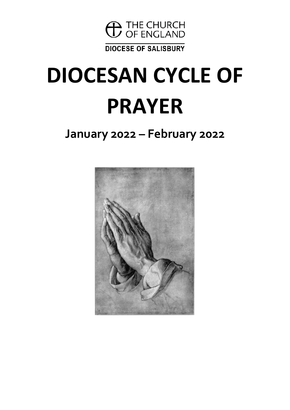

**DIOCESE OF SALISBURY** 

# **DIOCESAN CYCLE OF PRAYER**

### **January 2022 – February 2022**

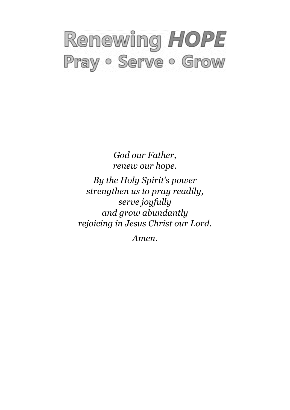## Renewing HOPE Pray · Serve · Grow

*God our Father, renew our hope. By the Holy Spirit's power strengthen us to pray readily, serve joyfully and grow abundantly rejoicing in Jesus Christ our Lord.*

*Amen.*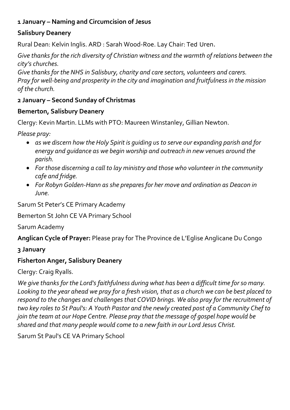#### **1 January – Naming and Circumcision of Jesus**

#### **Salisbury Deanery**

Rural Dean: Kelvin Inglis. ARD : Sarah Wood-Roe. Lay Chair: Ted Uren.

*Give thanks for the rich diversity of Christian witness and the warmth of relations between the city's churches.*

*Give thanks for the NHS in Salisbury, charity and care sectors, volunteers and carers. Pray for well-being and prosperity in the city and imagination and fruitfulness in the mission of the church.*

#### **2 January – Second Sunday of Christmas**

#### **Bemerton, Salisbury Deanery**

Clergy: Kevin Martin. LLMs with PTO: Maureen Winstanley, Gillian Newton.

*Please pray:*

- *as we discern how the Holy Spirit is guiding us to serve our expanding parish and for energy and guidance as we begin worship and outreach in new venues around the parish.*
- *For those discerning a call to lay ministry and those who volunteer in the community cafe and fridge.*
- *For Robyn Golden-Hann as she prepares for her move and ordination as Deacon in June.*

Sarum St Peter's CE Primary Academy

Bemerton St John CE VA Primary School

Sarum Academy

**Anglican Cycle of Prayer:** Please pray for The Province de L'Eglise Anglicane Du Congo

**3 January**

#### **Fisherton Anger, Salisbury Deanery**

Clergy: Craig Ryalls.

*We give thanks for the Lord's faithfulness during what has been a difficult time for so many. Looking to the year ahead we pray for a fresh vision, that as a church we can be best placed to respond to the changes and challenges that COVID brings. We also pray for the recruitment of two key roles to St Paul's: A Youth Pastor and the newly created post of a Community Chef to join the team at our Hope Centre. Please pray that the message of gospel hope would be shared and that many people would come to a new faith in our Lord Jesus Christ.*

Sarum St Paul's CE VA Primary School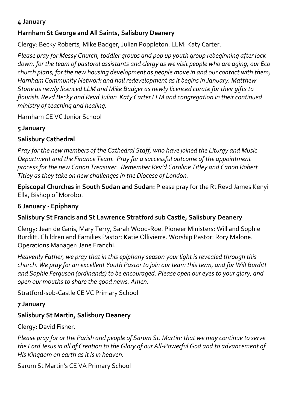#### **Harnham St George and All Saints, Salisbury Deanery**

Clergy: Becky Roberts, Mike Badger, Julian Poppleton. LLM: Katy Carter.

*Please pray for Messy Church, toddler groups and pop up youth group rebeginning after lock down, for the team of pastoral assistants and clergy as we visit people who are aging, our Eco church plans; for the new housing development as people move in and our contact with them; Harnham Community Network and hall redevelopment as it begins in January. Matthew Stone as newly licenced LLM and Mike Badger as newly licenced curate for their gifts to flourish. Revd Becky and Revd Julian Katy Carter LLM and congregation in their continued ministry of teaching and healing.*

Harnham CE VC Junior School

#### **5 January**

#### **Salisbury Cathedral**

*Pray for the new members of the Cathedral Staff, who have joined the Liturgy and Music Department and the Finance Team. Pray for a successful outcome of the appointment process for the new Canon Treasurer. Remember Rev'd Caroline Titley and Canon Robert Titley as they take on new challenges in the Diocese of London.*

**Episcopal Churches in South Sudan and Sudan:** Please pray for the Rt Revd James Kenyi Ella, Bishop of Morobo.

#### **6 January - Epiphany**

#### **Salisbury St Francis and St Lawrence Stratford sub Castle, Salisbury Deanery**

Clergy: Jean de Garis, Mary Terry, Sarah Wood-Roe. Pioneer Ministers: Will and Sophie Burditt. Children and Families Pastor: Katie Ollivierre. Worship Pastor: Rory Malone. Operations Manager: Jane Franchi.

*Heavenly Father, we pray that in this epiphany season your light is revealed through this church. We pray for an excellent Youth Pastor to join our team this term, and for Will Burditt and Sophie Ferguson (ordinands) to be encouraged. Please open our eyes to your glory, and open our mouths to share the good news. Amen.*

Stratford-sub-Castle CE VC Primary School

#### **7 January**

#### **Salisbury St Martin, Salisbury Deanery**

Clergy: David Fisher.

*Please pray for or the Parish and people of Sarum St. Martin: that we may continue to serve the Lord Jesus in all of Creation to the Glory of our All-Powerful God and to advancement of His Kingdom on earth as it is in heaven.*

Sarum St Martin's CE VA Primary School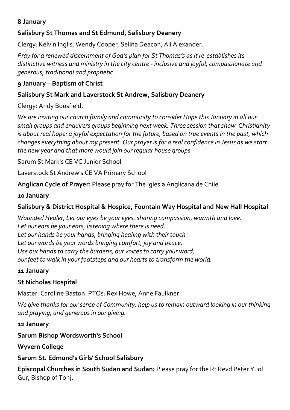#### **Salisbury St Thomas and St Edmund, Salisbury Deanery**

Clergy: Kelvin Inglis, Wendy Cooper, Selina Deacon, Ali Alexander.

*Pray for a renewed discernment of God's plan for St Thomas's as it re-establishes its distinctive witness and ministry in the city centre - inclusive and joyful, compassionate and generous, traditional and prophetic.*

#### **9 January – Baptism of Christ**

#### **Salisbury St Mark and Laverstock St Andrew, Salisbury Deanery**

Clergy: Andy Bousfield.

*We are inviting our church family and community to consider Hope this January in all our small groups and enquirers groups beginning next week. Three session that show Christianity is about real hope: a joyful expectation for the future, based on true events in the past, which changes everything about my present. Our prayer is for a real confidence in Jesus as we start the new year and that more would join our regular house groups.*

Sarum St Mark's CE VC Junior School

Laverstock St Andrew's CE VA Primary School

**Anglican Cycle of Prayer:** Please pray for The Iglesia Anglicana de Chile

**10 January**

#### **Salisbury & District Hospital & Hospice, Fountain Way Hospital and New Hall Hospital**

*Wounded Healer, Let our eyes be your eyes, sharing compassion, warmth and love. Let our ears be your ears, listening where there is need. Let our hands be your hands, bringing healing with their touch Let our words be your words bringing comfort, joy and peace. Use our hands to carry the burdens, our voices to carry your word, our feet to walk in your footsteps and our hearts to transform the world.*

#### **11 January**

#### **St Nicholas Hospital**

Master: Caroline Baston. PTOs: Rex Howe, Anne Faulkner.

We give thanks for our sense of Community, help us to remain outward looking in our thinking *and praying, and generous in our giving.*

**12 January**

**Sarum Bishop Wordsworth's School**

**Wyvern College**

**Sarum St. Edmund's Girls' School Salisbury**

**Episcopal Churches in South Sudan and Sudan:** Please pray for the Rt Revd Peter Yuol Gur, Bishop of Tonj.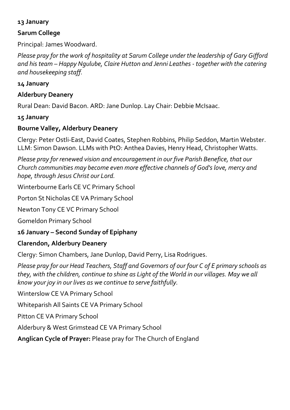#### **Sarum College**

Principal: James Woodward.

*Please pray for the work of hospitality at Sarum College under the leadership of Gary Gifford and his team – Happy Ngulube, Claire Hutton and Jenni Leathes - together with the catering and housekeeping staff.*

#### **14 January**

#### **Alderbury Deanery**

Rural Dean: David Bacon. ARD: Jane Dunlop. Lay Chair: Debbie McIsaac.

#### **15 January**

#### **Bourne Valley, Alderbury Deanery**

Clergy: Peter Ostli-East, David Coates, Stephen Robbins, Philip Seddon, Martin Webster. LLM: Simon Dawson. LLMs with PtO: Anthea Davies, Henry Head, Christopher Watts.

*Please pray for renewed vision and encouragement in our five Parish Benefice, that our Church communities may become even more effective channels of God's love, mercy and hope, through Jesus Christ our Lord.*

Winterbourne Earls CE VC Primary School

Porton St Nicholas CE VA Primary School

Newton Tony CE VC Primary School

Gomeldon Primary School

#### **16 January – Second Sunday of Epiphany**

#### **Clarendon, Alderbury Deanery**

Clergy: Simon Chambers, Jane Dunlop, David Perry, Lisa Rodrigues.

*Please pray for our Head Teachers, Staff and Governors of our four C of E primary schools as they, with the children, continue to shine as Light of the World in our villages. May we all know your joy in our lives as we continue to serve faithfully.*

Winterslow CE VA Primary School

Whiteparish All Saints CE VA Primary School

Pitton CE VA Primary School

Alderbury & West Grimstead CE VA Primary School

**Anglican Cycle of Prayer:** Please pray for The Church of England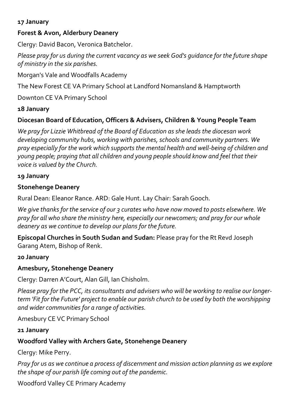#### **Forest & Avon, Alderbury Deanery**

Clergy: David Bacon, Veronica Batchelor.

*Please pray for us during the current vacancy as we seek God's guidance for the future shape of ministry in the six parishes.*

Morgan's Vale and Woodfalls Academy

The New Forest CE VA Primary School at Landford Nomansland & Hamptworth

Downton CE VA Primary School

#### **18 January**

#### **Diocesan Board of Education, Officers & Advisers, Children & Young People Team**

*We pray for Lizzie Whitbread of the Board of Education as she leads the diocesan work developing community hubs, working with parishes, schools and community partners. We pray especially for the work which supports the mental health and well-being of children and young people; praying that all children and young people should know and feel that their voice is valued by the Church.*

#### **19 January**

#### **Stonehenge Deanery**

Rural Dean: Eleanor Rance. ARD: Gale Hunt. Lay Chair: Sarah Gooch.

*We give thanks for the service of our 3 curates who have now moved to posts elsewhere. We pray for all who share the ministry here, especially our newcomers; and pray for our whole deanery as we continue to develop our plans for the future.*

**Episcopal Churches in South Sudan and Sudan:** Please pray for the Rt Revd Joseph Garang Atem, Bishop of Renk.

#### **20 January**

#### **Amesbury, Stonehenge Deanery**

Clergy: Darren A'Court, Alan Gill, Ian Chisholm.

*Please pray for the PCC, its consultants and advisers who will be working to realise our longerterm 'Fit for the Future' project to enable our parish church to be used by both the worshipping and wider communities for a range of activities.*

Amesbury CE VC Primary School

**21 January**

#### **Woodford Valley with Archers Gate, Stonehenge Deanery**

Clergy: Mike Perry.

*Pray for us as we continue a process of discernment and mission action planning as we explore the shape of our parish life coming out of the pandemic.*

Woodford Valley CE Primary Academy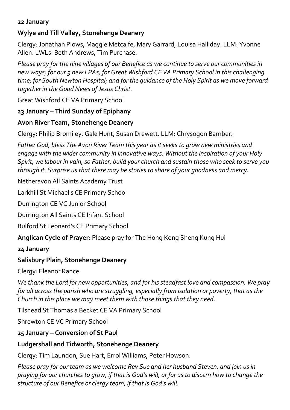#### **Wylye and Till Valley, Stonehenge Deanery**

Clergy: Jonathan Plows, Maggie Metcalfe, Mary Garrard, Louisa Halliday. LLM: Yvonne Allen. LWLs: Beth Andrews, Tim Purchase.

*Please pray for the nine villages of our Benefice as we continue to serve our communities in new ways; for our 5 new LPAs, for Great Wishford CE VA Primary School in this challenging time; for South Newton Hospital; and for the guidance of the Holy Spirit as we move forward together in the Good News of Jesus Christ.*

Great Wishford CE VA Primary School

#### **23 January – Third Sunday of Epiphany**

#### **Avon River Team, Stonehenge Deanery**

Clergy: Philip Bromiley, Gale Hunt, Susan Drewett. LLM: Chrysogon Bamber.

*Father God, bless The Avon River Team this year as it seeks to grow new ministries and engage with the wider community in innovative ways. Without the inspiration of your Holy Spirit, we labour in vain, so Father, build your church and sustain those who seek to serve you through it. Surprise us that there may be stories to share of your goodness and mercy.*

Netheravon All Saints Academy Trust

Larkhill St Michael's CE Primary School

Durrington CE VC Junior School

Durrington All Saints CE Infant School

Bulford St Leonard's CE Primary School

**Anglican Cycle of Prayer:** Please pray for The Hong Kong Sheng Kung Hui

#### **24 January**

#### **Salisbury Plain, Stonehenge Deanery**

Clergy: Eleanor Rance.

*We thank the Lord for new opportunities, and for his steadfast love and compassion. We pray for all across the parish who are struggling, especially from isolation or poverty, that as the Church in this place we may meet them with those things that they need.*

Tilshead St Thomas a Becket CE VA Primary School

Shrewton CE VC Primary School

#### **25 January – Conversion of St Paul**

#### **Ludgershall and Tidworth, Stonehenge Deanery**

Clergy: Tim Laundon, Sue Hart, Errol Williams, Peter Howson.

*Please pray for our team as we welcome Rev Sue and her husband Steven, and join us in praying for our churches to grow, if that is God's will, or for us to discern how to change the structure of our Benefice or clergy team, if that is God's will.*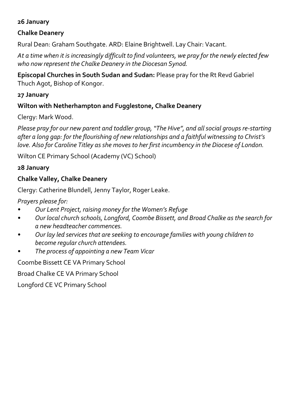#### **Chalke Deanery**

Rural Dean: Graham Southgate. ARD: Elaine Brightwell. Lay Chair: Vacant.

*At a time when it is increasingly difficult to find volunteers, we pray for the newly elected few who now represent the Chalke Deanery in the Diocesan Synod.*

**Episcopal Churches in South Sudan and Sudan:** Please pray for the Rt Revd Gabriel Thuch Agot, Bishop of Kongor.

#### **27 January**

#### **Wilton with Netherhampton and Fugglestone, Chalke Deanery**

Clergy: Mark Wood.

*Please pray for our new parent and toddler group, "The Hive", and all social groups re-starting after a long gap: for the flourishing of new relationships and a faithful witnessing to Christ's love. Also for Caroline Titley as she moves to her first incumbency in the Diocese of London.*

Wilton CE Primary School (Academy (VC) School)

#### **28 January**

#### **Chalke Valley, Chalke Deanery**

Clergy: Catherine Blundell, Jenny Taylor, Roger Leake.

*Prayers please for:*

- *• Our Lent Project, raising money for the Women's Refuge*
- *• Our local church schools, Longford, Coombe Bissett, and Broad Chalke as the search for a new headteacher commences.*
- *• Our lay led services that are seeking to encourage families with young children to become regular church attendees.*
- *• The process of appointing a new Team Vicar*

Coombe Bissett CE VA Primary School

Broad Chalke CE VA Primary School

Longford CE VC Primary School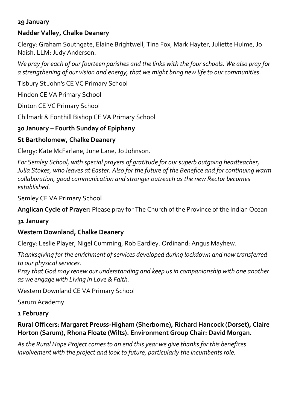#### **Nadder Valley, Chalke Deanery**

Clergy: Graham Southgate, Elaine Brightwell, Tina Fox, Mark Hayter, Juliette Hulme, Jo Naish. LLM: Judy Anderson.

*We pray for each of our fourteen parishes and the links with the four schools. We also pray for a strengthening of our vision and energy, that we might bring new life to our communities.*

Tisbury St John's CE VC Primary School

Hindon CE VA Primary School

Dinton CE VC Primary School

Chilmark & Fonthill Bishop CE VA Primary School

#### **30 January – Fourth Sunday of Epiphany**

#### **St Bartholomew, Chalke Deanery**

Clergy: Kate McFarlane, June Lane, Jo Johnson.

*For Semley School, with special prayers of gratitude for our superb outgoing headteacher, Julia Stokes, who leaves at Easter. Also for the future of the Benefice and for continuing warm collaboration, good communication and stronger outreach as the new Rector becomes established.*

Semley CE VA Primary School

**Anglican Cycle of Prayer:** Please pray for The Church of the Province of the Indian Ocean

#### **31 January**

#### **Western Downland, Chalke Deanery**

Clergy: Leslie Player, Nigel Cumming, Rob Eardley. Ordinand: Angus Mayhew.

*Thanksgiving for the enrichment of services developed during lockdown and now transferred to our physical services.*

*Pray that God may renew our understanding and keep us in companionship with one another as we engage with Living in Love & Faith.*

Western Downland CE VA Primary School

Sarum Academy

#### **1 February**

#### **Rural Officers: Margaret Preuss-Higham (Sherborne), Richard Hancock (Dorset), Claire Horton (Sarum), Rhona Floate (Wilts). Environment Group Chair: David Morgan.**

*As the Rural Hope Project comes to an end this year we give thanks for this benefices involvement with the project and look to future, particularly the incumbents role.*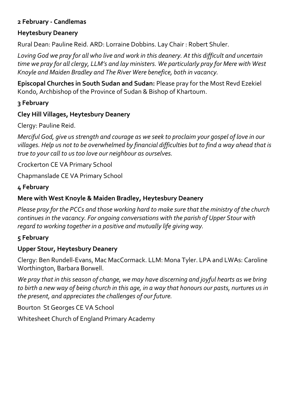#### **2 February - Candlemas**

#### **Heytesbury Deanery**

Rural Dean: Pauline Reid. ARD: Lorraine Dobbins. Lay Chair : Robert Shuler.

*Loving God we pray for all who live and work in this deanery. At this difficult and uncertain time we pray for all clergy, LLM's and lay ministers. We particularly pray for Mere with West Knoyle and Maiden Bradley and The River Were benefice, both in vacancy.*

**Episcopal Churches in South Sudan and Sudan:** Please pray for the Most Revd Ezekiel Kondo, Archbishop of the Province of Sudan & Bishop of Khartoum.

#### **3 February**

#### **Cley Hill Villages, Heytesbury Deanery**

Clergy: Pauline Reid.

*Merciful God, give us strength and courage as we seek to proclaim your gospel of love in our villages. Help us not to be overwhelmed by financial difficulties but to find a way ahead that is true to your call to us too love our neighbour as ourselves.*

Crockerton CE VA Primary School

Chapmanslade CE VA Primary School

#### **4 February**

#### **Mere with West Knoyle & Maiden Bradley, Heytesbury Deanery**

*Please pray for the PCCs and those working hard to make sure that the ministry of the church continues in the vacancy. For ongoing conversations with the parish of Upper Stour with regard to working together in a positive and mutually life giving way.*

#### **5 February**

#### **Upper Stour, Heytesbury Deanery**

Clergy: Ben Rundell-Evans, Mac MacCormack. LLM: Mona Tyler. LPA and LWAs: Caroline Worthington, Barbara Borwell.

*We pray that in this season of change, we may have discerning and joyful hearts as we bring to birth a new way of being church in this age, in a way that honours our pasts, nurtures us in the present, and appreciates the challenges of our future.*

Bourton St Georges CE VA School

Whitesheet Church of England Primary Academy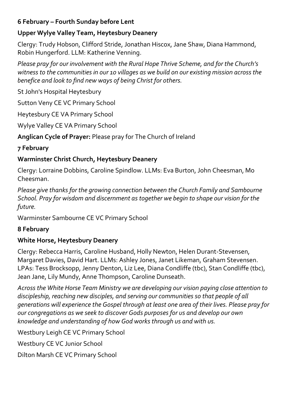#### **6 February – Fourth Sunday before Lent**

#### **Upper Wylye Valley Team, Heytesbury Deanery**

Clergy: Trudy Hobson, Clifford Stride, Jonathan Hiscox, Jane Shaw, Diana Hammond, Robin Hungerford. LLM: Katherine Venning.

*Please pray for our involvement with the Rural Hope Thrive Scheme, and for the Church's witness to the communities in our 10 villages as we build on our existing mission across the benefice and look to find new ways of being Christ for others.* 

St John's Hospital Heytesbury

Sutton Veny CE VC Primary School

Heytesbury CE VA Primary School

Wylye Valley CE VA Primary School

**Anglican Cycle of Prayer:** Please pray for The Church of Ireland

#### **7 February**

#### **Warminster Christ Church, Heytesbury Deanery**

Clergy: Lorraine Dobbins, Caroline Spindlow. LLMs: Eva Burton, John Cheesman, Mo Cheesman.

*Please give thanks for the growing connection between the Church Family and Sambourne School. Pray for wisdom and discernment as together we begin to shape our vision for the future.*

Warminster Sambourne CE VC Primary School

#### **8 February**

#### **White Horse, Heytesbury Deanery**

Clergy: Rebecca Harris, Caroline Husband, Holly Newton, Helen Durant-Stevensen, Margaret Davies, David Hart. LLMs: Ashley Jones, Janet Likeman, Graham Stevensen. LPAs: Tess Brocksopp, Jenny Denton, Liz Lee, Diana Condliffe (tbc), Stan Condliffe (tbc), Jean Jane, Lily Mundy, Anne Thompson, Caroline Dunseath.

*Across the White Horse Team Ministry we are developing our vision paying close attention to discipleship, reaching new disciples, and serving our communities so that people of all generations will experience the Gospel through at least one area of their lives. Please pray for our congregations as we seek to discover Gods purposes for us and develop our own knowledge and understanding of how God works through us and with us.*

Westbury Leigh CE VC Primary School

Westbury CE VC Junior School

Dilton Marsh CE VC Primary School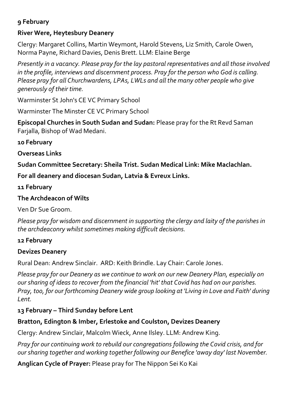#### **River Were, Heytesbury Deanery**

Clergy: Margaret Collins, Martin Weymont, Harold Stevens, Liz Smith, Carole Owen, Norma Payne, Richard Davies, Denis Brett. LLM: Elaine Berge

*Presently in a vacancy. Please pray for the lay pastoral representatives and all those involved in the profile, interviews and discernment process. Pray for the person who God is calling. Please pray for all Churchwardens, LPAs, LWLs and all the many other people who give generously of their time.*

Warminster St John's CE VC Primary School

Warminster The Minster CE VC Primary School

**Episcopal Churches in South Sudan and Sudan:** Please pray for the Rt Revd Saman Farjalla, Bishop of Wad Medani.

**10 February**

**Overseas Links**

**Sudan Committee Secretary: Sheila Trist. Sudan Medical Link: Mike Maclachlan.** 

**For all deanery and diocesan Sudan, Latvia & Evreux Links.**

**11 February**

#### **The Archdeacon of Wilts**

Ven Dr Sue Groom.

*Please pray for wisdom and discernment in supporting the clergy and laity of the parishes in the archdeaconry whilst sometimes making difficult decisions.*

#### **12 February**

#### **Devizes Deanery**

Rural Dean: Andrew Sinclair. ARD: Keith Brindle. Lay Chair: Carole Jones.

*Please pray for our Deanery as we continue to work on our new Deanery Plan, especially on our sharing of ideas to recover from the financial 'hit' that Covid has had on our parishes. Pray, too, for our forthcoming Deanery wide group looking at 'Living in Love and Faith' during Lent.*

#### **13 February – Third Sunday before Lent**

#### **Bratton, Edington & Imber, Erlestoke and Coulston, Devizes Deanery**

Clergy: Andrew Sinclair, Malcolm Wieck, Anne Ilsley. LLM: Andrew King.

*Pray for our continuing work to rebuild our congregations following the Covid crisis, and for our sharing together and working together following our Benefice 'away day' last November.*

**Anglican Cycle of Prayer:** Please pray for The Nippon Sei Ko Kai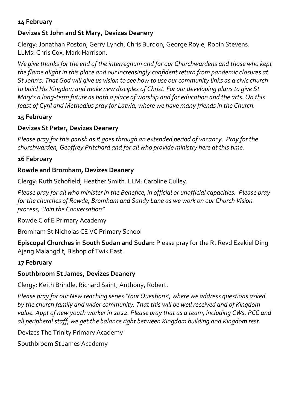#### **Devizes St John and St Mary, Devizes Deanery**

Clergy: Jonathan Poston, Gerry Lynch, Chris Burdon, George Royle, Robin Stevens. LLMs: Chris Cox, Mark Harrison.

*We give thanks for the end of the interregnum and for our Churchwardens and those who kept the flame alight in this place and our increasingly confident return from pandemic closures at St John's. That God will give us vision to see how to use our community links as a civic church to build His Kingdom and make new disciples of Christ. For our developing plans to give St Mary's a long-term future as both a place of worship and for education and the arts. On this feast of Cyril and Methodius pray for Latvia, where we have many friends in the Church.*

#### **15 February**

#### **Devizes St Peter, Devizes Deanery**

*Please pray for this parish as it goes through an extended period of vacancy. Pray for the churchwarden, Geoffrey Pritchard and for all who provide ministry here at this time.*

#### **16 February**

#### **Rowde and Bromham, Devizes Deanery**

Clergy: Ruth Schofield, Heather Smith. LLM: Caroline Culley.

*Please pray for all who minister in the Benefice, in official or unofficial capacities. Please pray for the churches of Rowde, Bromham and Sandy Lane as we work on our Church Vision process, "Join the Conversation"*

Rowde C of E Primary Academy

Bromham St Nicholas CE VC Primary School

**Episcopal Churches in South Sudan and Sudan:** Please pray for the Rt Revd Ezekiel Ding Ajang Malangdit, Bishop of Twik East.

#### **17 February**

#### **Southbroom St James, Devizes Deanery**

Clergy: Keith Brindle, Richard Saint, Anthony, Robert.

*Please pray for our New teaching series 'Your Questions', where we address questions asked by the church family and wider community. That this will be well received and of Kingdom value. Appt of new youth worker in 2022. Please pray that as a team, including CWs, PCC and all peripheral staff, we get the balance right between Kingdom building and Kingdom rest.*

Devizes The Trinity Primary Academy

Southbroom St James Academy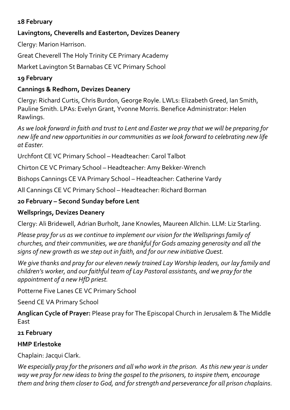#### **Lavingtons, Cheverells and Easterton, Devizes Deanery**

Clergy: Marion Harrison.

Great Cheverell The Holy Trinity CE Primary Academy

Market Lavington St Barnabas CE VC Primary School

#### **19 February**

#### **Cannings & Redhorn, Devizes Deanery**

Clergy: Richard Curtis, Chris Burdon, George Royle. LWLs: Elizabeth Greed, Ian Smith, Pauline Smith. LPAs: Evelyn Grant, Yvonne Morris. Benefice Administrator: Helen Rawlings.

*As we look forward in faith and trust to Lent and Easter we pray that we will be preparing for new life and new opportunities in our communities as we look forward to celebrating new life at Easter.*

Urchfont CE VC Primary School – Headteacher: Carol Talbot

Chirton CE VC Primary School – Headteacher: Amy Bekker-Wrench

Bishops Cannings CE VA Primary School – Headteacher: Catherine Vardy

All Cannings CE VC Primary School – Headteacher: Richard Borman

#### **20 February – Second Sunday before Lent**

#### **Wellsprings, Devizes Deanery**

Clergy: Ali Bridewell, Adrian Burholt, Jane Knowles, Maureen Allchin. LLM: Liz Starling.

*Please pray for us as we continue to implement our vision for the Wellsprings family of churches, and their communities, we are thankful for Gods amazing generosity and all the signs of new growth as we step out in faith, and for our new initiative Quest.*

*We give thanks and pray for our eleven newly trained Lay Worship leaders, our lay family and children's worker, and our faithful team of Lay Pastoral assistants, and we pray for the appointment of a new HfD priest.*

Potterne Five Lanes CE VC Primary School

Seend CE VA Primary School

**Anglican Cycle of Prayer:** Please pray for The Episcopal Church in Jerusalem & The Middle East

#### **21 February**

#### **HMP Erlestoke**

Chaplain: Jacqui Clark.

*We especially pray for the prisoners and all who work in the prison. As this new year is under way we pray for new ideas to bring the gospel to the prisoners, to inspire them, encourage them and bring them closer to God, and for strength and perseverance for all prison chaplains.*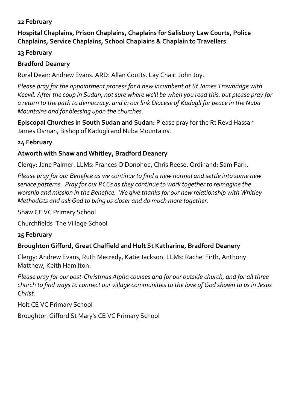**Hospital Chaplains, Prison Chaplains, Chaplains for Salisbury Law Courts, Police Chaplains, Service Chaplains, School Chaplains & Chaplain to Travellers**

#### **23 February**

#### **Bradford Deanery**

Rural Dean: Andrew Evans. ARD: Allan Coutts. Lay Chair: John Joy.

*Please pray for the appointment process for a new incumbent at St James Trowbridge with Keevil. After the coup in Sudan, not sure where we'll be when you read this, but please pray for a return to the path to democracy, and in our link Diocese of Kadugli for peace in the Nuba Mountains and for blessing upon the churches.*

**Episcopal Churches in South Sudan and Sudan:** Please pray for the Rt Revd Hassan James Osman, Bishop of Kadugli and Nuba Mountains.

#### **24 February**

#### **Atworth with Shaw and Whitley, Bradford Deanery**

Clergy: Jane Palmer. LLMs: Frances O'Donohoe, Chris Reese. Ordinand: Sam Park.

*Please pray for our Benefice as we continue to find a new normal and settle into some new service patterns. Pray for our PCCs as they continue to work together to reimagine the worship and mission in the Benefice. We give thanks for our new relationship with Whitley Methodists and ask God to bring us closer and do much more together.*

Shaw CE VC Primary School

Churchfields The Village School

#### **25 February**

#### **Broughton Gifford, Great Chalfield and Holt St Katharine, Bradford Deanery**

Clergy: Andrew Evans, Ruth Mecredy, Katie Jackson. LLMs: Rachel Firth, Anthony Matthew, Keith Hamilton.

*Please pray for our post-Christmas Alpha courses and for our outside church, and for all three church to find ways to connect our village communities to the love of God shown to us in Jesus Christ.*

Holt CE VC Primary School

Broughton Gifford St Mary's CE VC Primary School